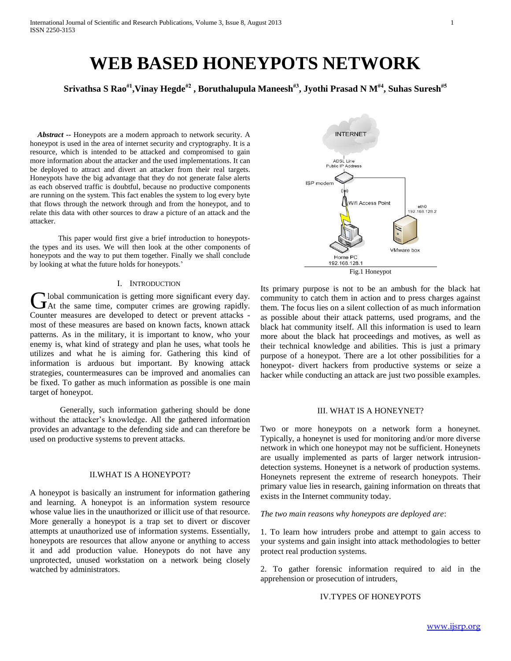# **WEB BASED HONEYPOTS NETWORK**

**Srivathsa S Rao#1 ,Vinay Hegde#2 , Boruthalupula Maneesh#3 , Jyothi Prasad N M#4 , Suhas Suresh#5**

 *Abstract* **--** Honeypots are a modern approach to network security. A honeypot is used in the area of internet security and cryptography. It is a resource, which is intended to be attacked and compromised to gain more information about the attacker and the used implementations. It can be deployed to attract and divert an attacker from their real targets. Honeypots have the big advantage that they do not generate false alerts as each observed traffic is doubtful, because no productive components are running on the system. This fact enables the system to log every byte that flows through the network through and from the honeypot, and to relate this data with other sources to draw a picture of an attack and the attacker.

 This paper would first give a brief introduction to honeypotsthe types and its uses. We will then look at the other components of honeypots and the way to put them together. Finally we shall conclude by looking at what the future holds for honeypots.'

#### I. INTRODUCTION

lobal communication is getting more significant every day. Cobal communication is getting more significant every day.<br>
At the same time, computer crimes are growing rapidly. Counter measures are developed to detect or prevent attacks most of these measures are based on known facts, known attack patterns. As in the military, it is important to know, who your enemy is, what kind of strategy and plan he uses, what tools he utilizes and what he is aiming for. Gathering this kind of information is arduous but important. By knowing attack strategies, countermeasures can be improved and anomalies can be fixed. To gather as much information as possible is one main target of honeypot.

Generally, such information gathering should be done without the attacker's knowledge. All the gathered information provides an advantage to the defending side and can therefore be used on productive systems to prevent attacks.

## II.WHAT IS A HONEYPOT?

A honeypot is basically an instrument for information gathering and learning. A honeypot is an information system resource whose value lies in the unauthorized or illicit use of that resource. More generally a honeypot is a trap set to divert or discover attempts at unauthorized use of information systems. Essentially, honeypots are resources that allow anyone or anything to access it and add production value. Honeypots do not have any unprotected, unused workstation on a network being closely watched by administrators.



Its primary purpose is not to be an ambush for the black hat community to catch them in action and to press charges against them. The focus lies on a silent collection of as much information as possible about their attack patterns, used programs, and the black hat community itself. All this information is used to learn more about the black hat proceedings and motives, as well as their technical knowledge and abilities. This is just a primary purpose of a honeypot. There are a lot other possibilities for a honeypot- divert hackers from productive systems or seize a hacker while conducting an attack are just two possible examples.

#### III. WHAT IS A HONEYNET?

Two or more honeypots on a network form a honeynet. Typically, a honeynet is used for monitoring and/or more diverse network in which one honeypot may not be sufficient. Honeynets are usually implemented as parts of larger network intrusiondetection systems. Honeynet is a network of production systems. Honeynets represent the extreme of research honeypots. Their primary value lies in research, gaining information on threats that exists in the Internet community today.

*The two main reasons why honeypots are deployed are*:

1. To learn how intruders probe and attempt to gain access to your systems and gain insight into attack methodologies to better protect real production systems.

2. To gather forensic information required to aid in the apprehension or prosecution of intruders,

## IV.TYPES OF HONEYPOTS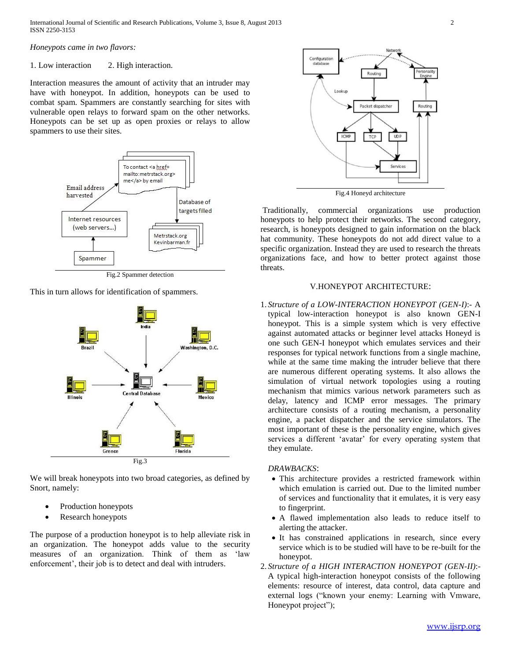International Journal of Scientific and Research Publications, Volume 3, Issue 8, August 2013 2 ISSN 2250-3153

*Honeypots came in two flavors:*

# 1. Low interaction 2. High interaction.

Interaction measures the amount of activity that an intruder may have with honeypot. In addition, honeypots can be used to combat spam. Spammers are constantly searching for sites with vulnerable open relays to forward spam on the other networks. Honeypots can be set up as open proxies or relays to allow spammers to use their sites.



Fig.2 Spammer detection

This in turn allows for identification of spammers.



We will break honeypots into two broad categories, as defined by Snort, namely:

- Production honeypots
- Research honeypots

The purpose of a production honeypot is to help alleviate risk in an organization. The honeypot adds value to the security measures of an organization. Think of them as 'law enforcement', their job is to detect and deal with intruders.



Fig.4 Honeyd architecture

Traditionally, commercial organizations use production honeypots to help protect their networks. The second category, research, is honeypots designed to gain information on the black hat community. These honeypots do not add direct value to a specific organization. Instead they are used to research the threats organizations face, and how to better protect against those threats.

#### V.HONEYPOT ARCHITECTURE:

1. *Structure of a LOW-INTERACTION HONEYPOT (GEN-I)*:- A typical low-interaction honeypot is also known GEN-I honeypot. This is a simple system which is very effective against automated attacks or beginner level attacks Honeyd is one such GEN-I honeypot which emulates services and their responses for typical network functions from a single machine, while at the same time making the intruder believe that there are numerous different operating systems. It also allows the simulation of virtual network topologies using a routing mechanism that mimics various network parameters such as delay, latency and ICMP error messages. The primary architecture consists of a routing mechanism, a personality engine, a packet dispatcher and the service simulators. The most important of these is the personality engine, which gives services a different 'avatar' for every operating system that they emulate.

#### *DRAWBACKS*:

- This architecture provides a restricted framework within which emulation is carried out. Due to the limited number of services and functionality that it emulates, it is very easy to fingerprint.
- A flawed implementation also leads to reduce itself to alerting the attacker.
- It has constrained applications in research, since every service which is to be studied will have to be re-built for the honeypot.
- 2. *Structure of a HIGH INTERACTION HONEYPOT (GEN-II)*:- A typical high-interaction honeypot consists of the following elements: resource of interest, data control, data capture and external logs ("known your enemy: Learning with Vmware, Honeypot project");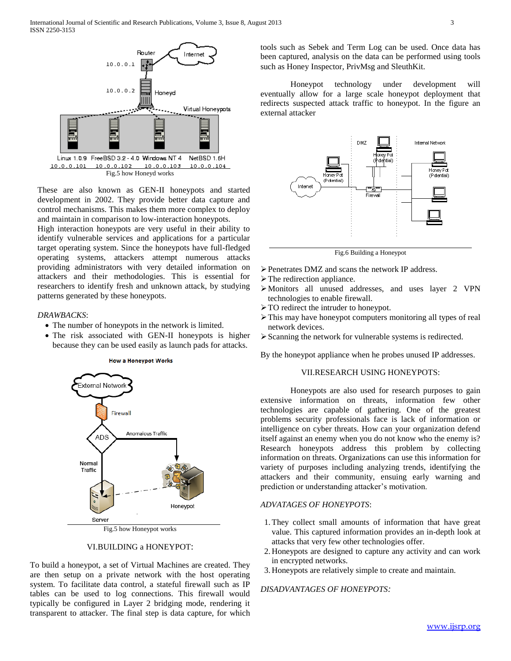

These are also known as GEN-II honeypots and started development in 2002. They provide better data capture and control mechanisms. This makes them more complex to deploy and maintain in comparison to low-interaction honeypots.

High interaction honeypots are very useful in their ability to identify vulnerable services and applications for a particular target operating system. Since the honeypots have full-fledged operating systems, attackers attempt numerous attacks providing administrators with very detailed information on attackers and their methodologies. This is essential for researchers to identify fresh and unknown attack, by studying patterns generated by these honeypots.

#### *DRAWBACKS*:

- The number of honeypots in the network is limited.
- The risk associated with GEN-II honeypots is higher because they can be used easily as launch pads for attacks.



Fig.5 how Honeypot works

## VI.BUILDING a HONEYPOT:

To build a honeypot, a set of Virtual Machines are created. They are then setup on a private network with the host operating system. To facilitate data control, a stateful firewall such as IP tables can be used to log connections. This firewall would typically be configured in Layer 2 bridging mode, rendering it transparent to attacker. The final step is data capture, for which

tools such as Sebek and Term Log can be used. Once data has been captured, analysis on the data can be performed using tools such as Honey Inspector, PrivMsg and SleuthKit.

Honeypot technology under development will eventually allow for a large scale honeypot deployment that redirects suspected attack traffic to honeypot. In the figure an external attacker



Fig.6 Building a Honeypot

- Penetrates DMZ and scans the network IP address.
- $\triangleright$  The redirection appliance.
- Monitors all unused addresses, and uses layer 2 VPN technologies to enable firewall.
- > TO redirect the intruder to honeypot.
- This may have honeypot computers monitoring all types of real network devices.
- Scanning the network for vulnerable systems is redirected.

By the honeypot appliance when he probes unused IP addresses.

#### VII.RESEARCH USING HONEYPOTS:

Honeypots are also used for research purposes to gain extensive information on threats, information few other technologies are capable of gathering. One of the greatest problems security professionals face is lack of information or intelligence on cyber threats. How can your organization defend itself against an enemy when you do not know who the enemy is? Research honeypots address this problem by collecting information on threats. Organizations can use this information for variety of purposes including analyzing trends, identifying the attackers and their community, ensuing early warning and prediction or understanding attacker's motivation.

# *ADVATAGES OF HONEYPOTS*:

- 1.They collect small amounts of information that have great value. This captured information provides an in-depth look at attacks that very few other technologies offer.
- 2. Honeypots are designed to capture any activity and can work in encrypted networks.
- 3. Honeypots are relatively simple to create and maintain.

# *DISADVANTAGES OF HONEYPOTS:*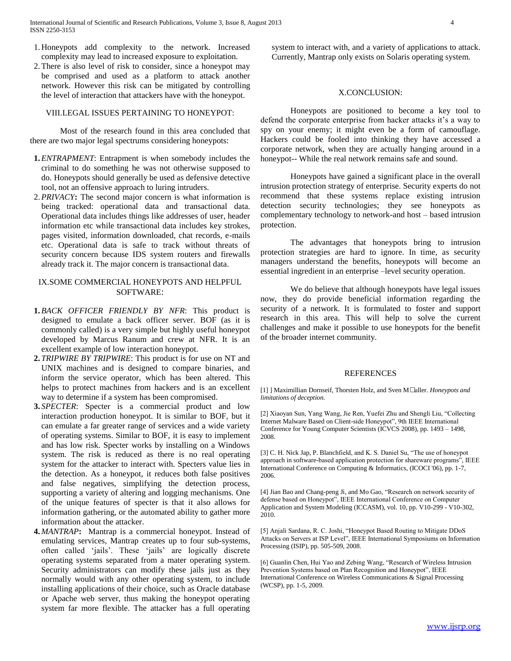- 1. Honeypots add complexity to the network. Increased complexity may lead to increased exposure to exploitation.
- 2.There is also level of risk to consider, since a honeypot may be comprised and used as a platform to attack another network. However this risk can be mitigated by controlling the level of interaction that attackers have with the honeypot.

#### VIII.LEGAL ISSUES PERTAINING TO HONEYPOT:

Most of the research found in this area concluded that there are two major legal spectrums considering honeypots:

- **1.***ENTRAPMENT*: Entrapment is when somebody includes the criminal to do something he was not otherwise supposed to do. Honeypots should generally be used as defensive detective tool, not an offensive approach to luring intruders.
- 2.*PRIVACY***:** The second major concern is what information is being tracked: operational data and transactional data. Operational data includes things like addresses of user, header information etc while transactional data includes key strokes, pages visited, information downloaded, chat records, e-mails etc. Operational data is safe to track without threats of security concern because IDS system routers and firewalls already track it. The major concern is transactional data.

# IX.SOME COMMERCIAL HONEYPOTS AND HELPFUL SOFTWARE:

- **1.***BACK OFFICER FRIENDLY BY NFR*: This product is designed to emulate a back officer server. BOF (as it is commonly called) is a very simple but highly useful honeypot developed by Marcus Ranum and crew at NFR. It is an excellent example of low interaction honeypot.
- **2.** *TRIPWIRE BY TRIPWIRE*: This product is for use on NT and UNIX machines and is designed to compare binaries, and inform the service operator, which has been altered. This helps to protect machines from hackers and is an excellent way to determine if a system has been compromised.
- **3.** *SPECTER*: Specter is a commercial product and low interaction production honeypot. It is similar to BOF, but it can emulate a far greater range of services and a wide variety of operating systems. Similar to BOF, it is easy to implement and has low risk. Specter works by installing on a Windows system. The risk is reduced as there is no real operating system for the attacker to interact with. Specters value lies in the detection. As a honeypot, it reduces both false positives and false negatives, simplifying the detection process, supporting a variety of altering and logging mechanisms. One of the unique features of specter is that it also allows for information gathering, or the automated ability to gather more information about the attacker.
- **4.** *MANTRAP***:** Mantrap is a commercial honeypot. Instead of emulating services, Mantrap creates up to four sub-systems, often called 'jails'. These 'jails' are logically discrete operating systems separated from a mater operating system. Security administrators can modify these jails just as they normally would with any other operating system, to include installing applications of their choice, such as Oracle database or Apache web server, thus making the honeypot operating system far more flexible. The attacker has a full operating

system to interact with, and a variety of applications to attack. Currently, Mantrap only exists on Solaris operating system.

## X.CONCLUSION:

Honeypots are positioned to become a key tool to defend the corporate enterprise from hacker attacks it's a way to spy on your enemy; it might even be a form of camouflage. Hackers could be fooled into thinking they have accessed a corporate network, when they are actually hanging around in a honeypot-- While the real network remains safe and sound.

Honeypots have gained a significant place in the overall intrusion protection strategy of enterprise. Security experts do not recommend that these systems replace existing intrusion detection security technologies; they see honeypots as complementary technology to network-and host – based intrusion protection.

The advantages that honeypots bring to intrusion protection strategies are hard to ignore. In time, as security managers understand the benefits, honeypots will become an essential ingredient in an enterprise –level security operation.

We do believe that although honeypots have legal issues now, they do provide beneficial information regarding the security of a network. It is formulated to foster and support research in this area. This will help to solve the current challenges and make it possible to use honeypots for the benefit of the broader internet community.

#### REFERENCES

[1] ] Maximillian Dornseif, Thorsten Holz, and Sven M• uller. *Honeypots and limitations of deception.*

[2] Xiaoyan Sun, Yang Wang, Jie Ren, Yuefei Zhu and Shengli Liu, "Collecting Internet Malware Based on Client-side Honeypot", 9th IEEE International Conference for Young Computer Scientists (ICVCS 2008), pp. 1493 – 1498, 2008.

[3] C. H. Nick Jap, P. Blanchfield, and K. S. Daniel Su, "The use of honeypot approach in software-based application protection for shareware programs", IEEE International Conference on Computing & Informatics, (ICOCI '06), pp. 1-7, 2006.

[4] Jian Bao and Chang-peng Ji, and Mo Gao, "Research on network security of defense based on Honeypot", IEEE International Conference on Computer Application and System Modeling (ICCASM), vol. 10, pp. V10-299 - V10-302, 2010.

[5] Anjali Sardana, R. C. Joshi, "Honeypot Based Routing to Mitigate DDoS Attacks on Servers at ISP Level", IEEE International Symposiums on Information Processing (ISIP), pp. 505-509, 2008.

[6] Guanlin Chen, Hui Yao and Zebing Wang, "Research of Wireless Intrusion Prevention Systems based on Plan Recognition and Honeypot", IEEE International Conference on Wireless Communications & Signal Processing (WCSP), pp. 1-5, 2009.